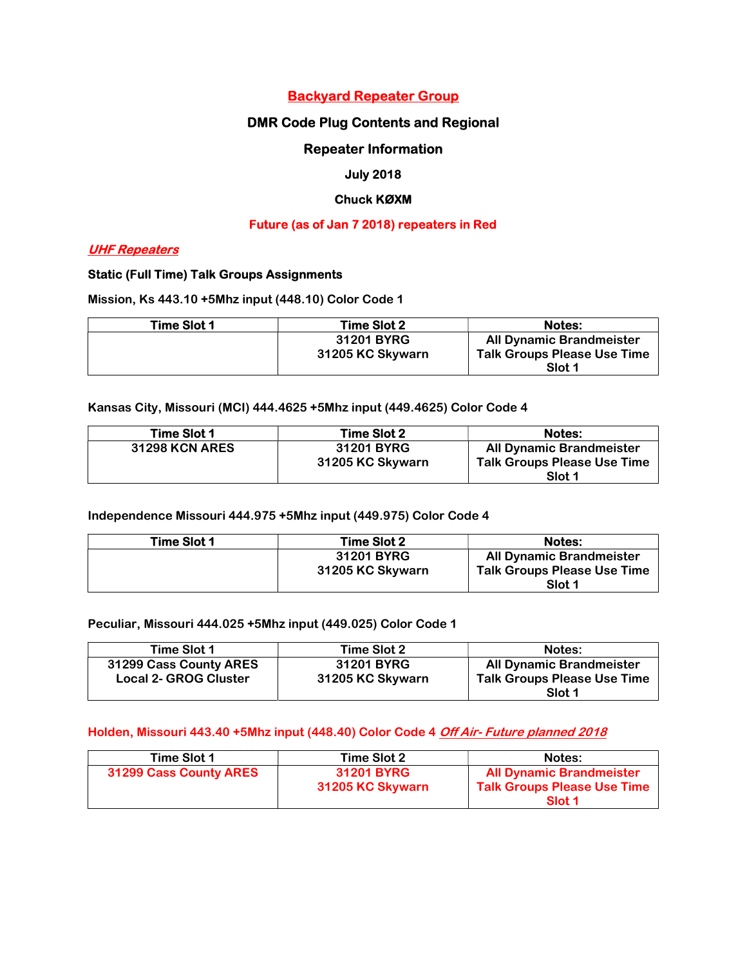## Backyard Repeater Group

## DMR Code Plug Contents and Regional

### Repeater Information

### July 2018

### Chuck KØXM

#### Future (as of Jan 7 2018) repeaters in Red

## UHF Repeaters

#### Static (Full Time) Talk Groups Assignments

Mission, Ks 443.10 +5Mhz input (448.10) Color Code 1

| Time Slot 1 | Time Slot 2      | <b>Notes:</b>                      |
|-------------|------------------|------------------------------------|
|             | 31201 BYRG       | All Dynamic Brandmeister           |
|             | 31205 KC Skywarn | <b>Talk Groups Please Use Time</b> |
|             |                  | Slot 1                             |

Kansas City, Missouri (MCI) 444.4625 +5Mhz input (449.4625) Color Code 4

| Time Slot 1           | Time Slot 2                           | <b>Notes:</b>                                                                   |
|-----------------------|---------------------------------------|---------------------------------------------------------------------------------|
| <b>31298 KCN ARES</b> | <b>31201 BYRG</b><br>31205 KC Skywarn | <b>All Dynamic Brandmeister</b><br><b>Talk Groups Please Use Time</b><br>Slot 1 |

Independence Missouri 444.975 +5Mhz input (449.975) Color Code 4

| Time Slot 1 | Time Slot 2      | <b>Notes:</b>                      |
|-------------|------------------|------------------------------------|
|             | 31201 BYRG       | <b>All Dynamic Brandmeister</b>    |
|             | 31205 KC Skywarn | <b>Talk Groups Please Use Time</b> |
|             |                  | Slot 1                             |

Peculiar, Missouri 444.025 +5Mhz input (449.025) Color Code 1

| Time Slot 1                  | Time Slot 2      | Notes:                             |
|------------------------------|------------------|------------------------------------|
| 31299 Cass County ARES       | 31201 BYRG       | <b>All Dynamic Brandmeister</b>    |
| <b>Local 2- GROG Cluster</b> | 31205 KC Skywarn | <b>Talk Groups Please Use Time</b> |
|                              |                  | Slot 1                             |

### Holden, Missouri 443.40 +5Mhz input (448.40) Color Code 4 Off Air- Future planned 2018

| Time Slot 1            | Time Slot 2                           | Notes:                                                                                     |
|------------------------|---------------------------------------|--------------------------------------------------------------------------------------------|
| 31299 Cass County ARES | <b>31201 BYRG</b><br>31205 KC Skywarn | <b>All Dynamic Brandmeister</b><br><b>Talk Groups Please Use Time</b><br>Slot <sub>1</sub> |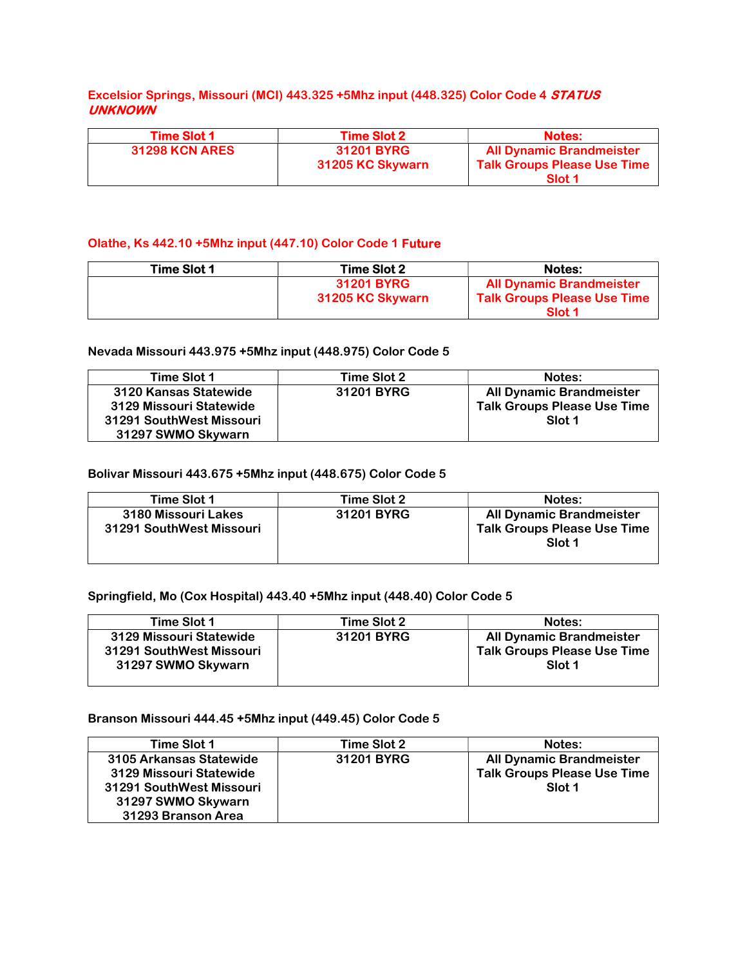### Excelsior Springs, Missouri (MCI) 443.325 +5Mhz input (448.325) Color Code 4 STATUS UNKNOWN

| <b>Time Slot 1</b>    | <b>Time Slot 2</b>                    | <b>Notes:</b>                                                                              |
|-----------------------|---------------------------------------|--------------------------------------------------------------------------------------------|
| <b>31298 KCN ARES</b> | <b>31201 BYRG</b><br>31205 KC Skywarn | <b>All Dynamic Brandmeister</b><br><b>Talk Groups Please Use Time</b><br>Slot <sub>1</sub> |

#### Olathe, Ks 442.10 +5Mhz input (447.10) Color Code 1 Future

| Time Slot 1 | <b>Time Slot 2</b>                    | <b>Notes:</b>                                                         |
|-------------|---------------------------------------|-----------------------------------------------------------------------|
|             | <b>31201 BYRG</b><br>31205 KC Skywarn | <b>All Dynamic Brandmeister</b><br><b>Talk Groups Please Use Time</b> |
|             |                                       | Slot <sub>1</sub>                                                     |

#### Nevada Missouri 443.975 +5Mhz input (448.975) Color Code 5

| Time Slot 1                                                                                        | Time Slot 2 | Notes:                                                                                     |
|----------------------------------------------------------------------------------------------------|-------------|--------------------------------------------------------------------------------------------|
| 3120 Kansas Statewide<br>3129 Missouri Statewide<br>31291 SouthWest Missouri<br>31297 SWMO Skywarn | 31201 BYRG  | <b>All Dynamic Brandmeister</b><br><b>Talk Groups Please Use Time</b><br>Slot <sub>1</sub> |

#### Bolivar Missouri 443.675 +5Mhz input (448.675) Color Code 5

| Time Slot 1                                     | Time Slot 2 | Notes:                                                                          |
|-------------------------------------------------|-------------|---------------------------------------------------------------------------------|
| 3180 Missouri Lakes<br>31291 SouthWest Missouri | 31201 BYRG  | <b>All Dynamic Brandmeister</b><br><b>Talk Groups Please Use Time</b><br>Slot 1 |

### Springfield, Mo (Cox Hospital) 443.40 +5Mhz input (448.40) Color Code 5

| Time Slot 1                                                               | Time Slot 2 | Notes:                                                                          |
|---------------------------------------------------------------------------|-------------|---------------------------------------------------------------------------------|
| 3129 Missouri Statewide<br>31291 SouthWest Missouri<br>31297 SWMO Skywarn | 31201 BYRG  | <b>All Dynamic Brandmeister</b><br><b>Talk Groups Please Use Time</b><br>Slot 1 |

#### Branson Missouri 444.45 +5Mhz input (449.45) Color Code 5

| Time Slot 1              | Time Slot 2 | Notes:                             |
|--------------------------|-------------|------------------------------------|
| 3105 Arkansas Statewide  | 31201 BYRG  | <b>All Dynamic Brandmeister</b>    |
| 3129 Missouri Statewide  |             | <b>Talk Groups Please Use Time</b> |
| 31291 SouthWest Missouri |             | Slot 1                             |
| 31297 SWMO Skywarn       |             |                                    |
| 31293 Branson Area       |             |                                    |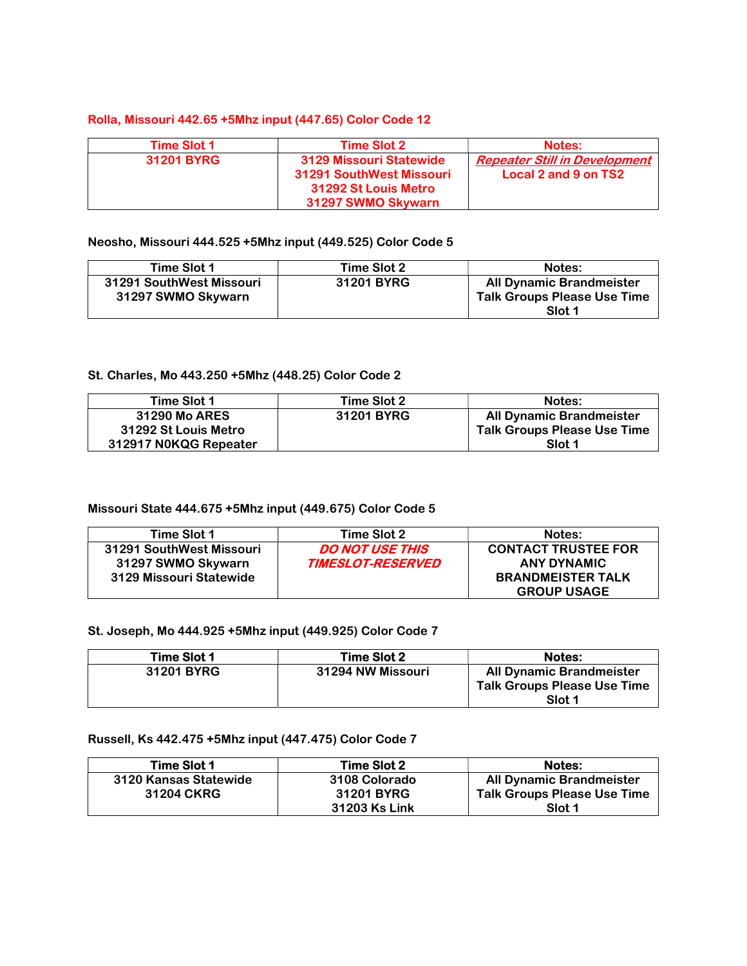#### Rolla, Missouri 442.65 +5Mhz input (447.65) Color Code 12

| <b>Time Slot 1</b> | <b>Time Slot 2</b>                                                                                | Notes:                                                       |
|--------------------|---------------------------------------------------------------------------------------------------|--------------------------------------------------------------|
| <b>31201 BYRG</b>  | 3129 Missouri Statewide<br>31291 SouthWest Missouri<br>31292 St Louis Metro<br>31297 SWMO Skywarn | <b>Repeater Still in Development</b><br>Local 2 and 9 on TS2 |

#### Neosho, Missouri 444.525 +5Mhz input (449.525) Color Code 5

| Time Slot 1                                    | Time Slot 2 | Notes:                                                                |
|------------------------------------------------|-------------|-----------------------------------------------------------------------|
| 31291 SouthWest Missouri<br>31297 SWMO Skywarn | 31201 BYRG  | <b>All Dynamic Brandmeister</b><br><b>Talk Groups Please Use Time</b> |
|                                                |             | Slot 1                                                                |

### St. Charles, Mo 443.250 +5Mhz (448.25) Color Code 2

| Time Slot 1           | Time Slot 2 | Notes:                             |
|-----------------------|-------------|------------------------------------|
| <b>31290 Mo ARES</b>  | 31201 BYRG  | <b>All Dynamic Brandmeister</b>    |
| 31292 St Louis Metro  |             | <b>Talk Groups Please Use Time</b> |
| 312917 N0KQG Repeater |             | Slot 1                             |

### Missouri State 444.675 +5Mhz input (449.675) Color Code 5

| Time Slot 1              | Time Slot 2                     | Notes:                     |
|--------------------------|---------------------------------|----------------------------|
| 31291 SouthWest Missouri | <b>DO NOT USE THIS</b>          | <b>CONTACT TRUSTEE FOR</b> |
| 31297 SWMO Skywarn       | <i><b>TIMESLOT-RESERVED</b></i> | <b>ANY DYNAMIC</b>         |
| 3129 Missouri Statewide  |                                 | <b>BRANDMEISTER TALK</b>   |
|                          |                                 | <b>GROUP USAGE</b>         |

#### St. Joseph, Mo 444.925 +5Mhz input (449.925) Color Code 7

| Time Slot 1 | <b>Time Slot 2</b> | <b>Notes:</b>                                                            |
|-------------|--------------------|--------------------------------------------------------------------------|
| 31201 BYRG  | 31294 NW Missouri  | All Dynamic Brandmeister<br><b>Talk Groups Please Use Time</b><br>Slot 1 |

### Russell, Ks 442.475 +5Mhz input (447.475) Color Code 7

| Time Slot 1           | Time Slot 2          | <b>Notes:</b>                      |
|-----------------------|----------------------|------------------------------------|
| 3120 Kansas Statewide | 3108 Colorado        | <b>All Dynamic Brandmeister</b>    |
| 31204 CKRG            | <b>31201 BYRG</b>    | <b>Talk Groups Please Use Time</b> |
|                       | <b>31203 Ks Link</b> | Slot 1                             |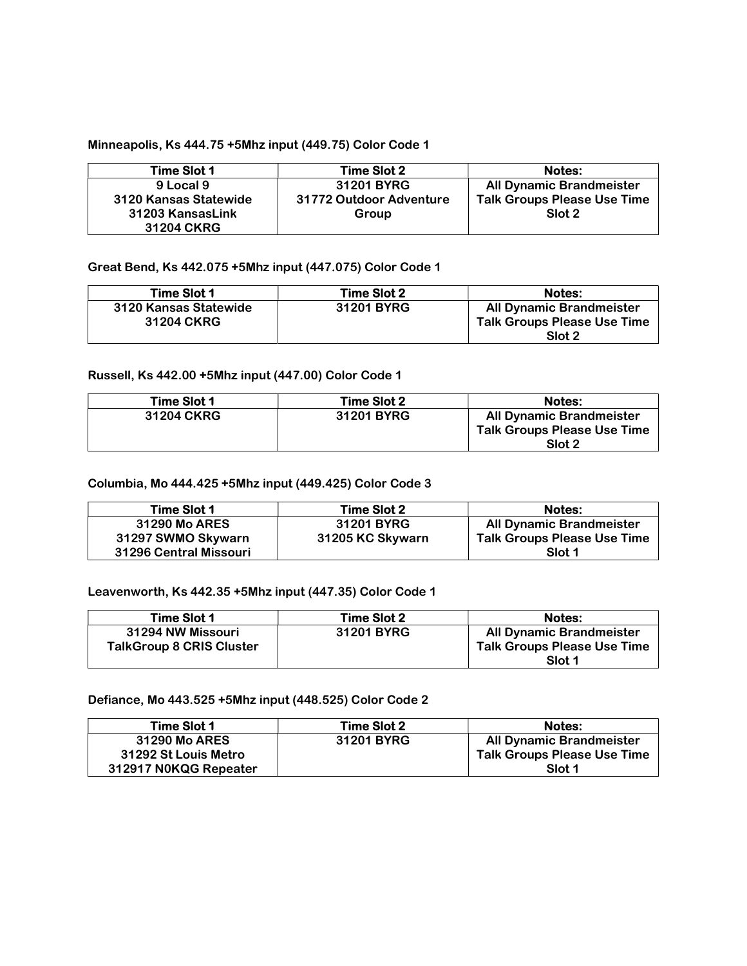### Minneapolis, Ks 444.75 +5Mhz input (449.75) Color Code 1

| Time Slot 1           | <b>Time Slot 2</b>      | <b>Notes:</b>                      |
|-----------------------|-------------------------|------------------------------------|
| 9 Local 9             | 31201 BYRG              | <b>All Dynamic Brandmeister</b>    |
| 3120 Kansas Statewide | 31772 Outdoor Adventure | <b>Talk Groups Please Use Time</b> |
| 31203 KansasLink      | Group                   | Slot 2                             |
| <b>31204 CKRG</b>     |                         |                                    |

### Great Bend, Ks 442.075 +5Mhz input (447.075) Color Code 1

| Time Slot 1                                | <b>Time Slot 2</b> | <b>Notes:</b>                                                                   |
|--------------------------------------------|--------------------|---------------------------------------------------------------------------------|
| 3120 Kansas Statewide<br><b>31204 CKRG</b> | 31201 BYRG         | <b>All Dynamic Brandmeister</b><br><b>Talk Groups Please Use Time</b><br>Slot 2 |

#### Russell, Ks 442.00 +5Mhz input (447.00) Color Code 1

| Time Slot 1       | Time Slot 2 | <b>Notes:</b>                                                                   |
|-------------------|-------------|---------------------------------------------------------------------------------|
| <b>31204 CKRG</b> | 31201 BYRG  | <b>All Dynamic Brandmeister</b><br><b>Talk Groups Please Use Time</b><br>Slot 2 |

#### Columbia, Mo 444.425 +5Mhz input (449.425) Color Code 3

| Time Slot 1            | <b>Time Slot 2</b> | Notes:                             |
|------------------------|--------------------|------------------------------------|
| 31290 Mo ARES          | 31201 BYRG         | <b>All Dynamic Brandmeister</b>    |
| 31297 SWMO Skywarn     | 31205 KC Skywarn   | <b>Talk Groups Please Use Time</b> |
| 31296 Central Missouri |                    | Slot 1                             |

#### Leavenworth, Ks 442.35 +5Mhz input (447.35) Color Code 1

| Time Slot 1                     | Time Slot 2 | <b>Notes:</b>                      |
|---------------------------------|-------------|------------------------------------|
| 31294 NW Missouri               | 31201 BYRG  | <b>All Dynamic Brandmeister</b>    |
| <b>TalkGroup 8 CRIS Cluster</b> |             | <b>Talk Groups Please Use Time</b> |
|                                 |             | Slot 1                             |

#### Defiance, Mo 443.525 +5Mhz input (448.525) Color Code 2

| Time Slot 1           | Time Slot 2 | <b>Notes:</b>                      |
|-----------------------|-------------|------------------------------------|
| <b>31290 Mo ARES</b>  | 31201 BYRG  | <b>All Dynamic Brandmeister</b>    |
| 31292 St Louis Metro  |             | <b>Talk Groups Please Use Time</b> |
| 312917 N0KQG Repeater |             | Slot 1                             |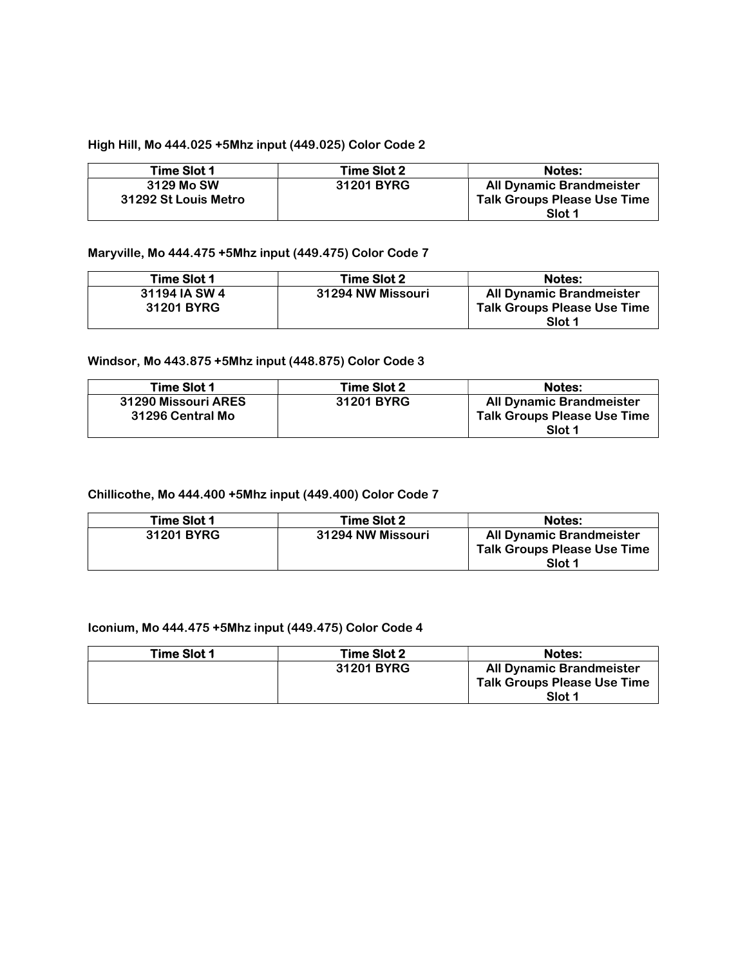### High Hill, Mo 444.025 +5Mhz input (449.025) Color Code 2

| <b>Time Slot 2</b> | <b>Notes:</b>                                |
|--------------------|----------------------------------------------|
| 31201 BYRG         | <b>All Dynamic Brandmeister</b>              |
|                    | <b>Talk Groups Please Use Time</b><br>Slot 1 |
|                    |                                              |

### Maryville, Mo 444.475 +5Mhz input (449.475) Color Code 7

| <b>Time Slot 1</b>                 | Time Slot 2       | <b>Notes:</b>                                                                   |
|------------------------------------|-------------------|---------------------------------------------------------------------------------|
| 31194 IA SW 4<br><b>31201 BYRG</b> | 31294 NW Missouri | <b>All Dynamic Brandmeister</b><br><b>Talk Groups Please Use Time</b><br>Slot 1 |

#### Windsor, Mo 443.875 +5Mhz input (448.875) Color Code 3

| Time Slot 1                             | <b>Time Slot 2</b> | <b>Notes:</b>                                                                   |
|-----------------------------------------|--------------------|---------------------------------------------------------------------------------|
| 31290 Missouri ARES<br>31296 Central Mo | 31201 BYRG         | <b>All Dynamic Brandmeister</b><br><b>Talk Groups Please Use Time</b><br>Slot 1 |

### Chillicothe, Mo 444.400 +5Mhz input (449.400) Color Code 7

| Time Slot 1 | <b>Time Slot 2</b>       | <b>Notes:</b>                                                                   |
|-------------|--------------------------|---------------------------------------------------------------------------------|
| 31201 BYRG  | <b>31294 NW Missouri</b> | <b>All Dynamic Brandmeister</b><br><b>Talk Groups Please Use Time</b><br>Slot 1 |

#### Iconium, Mo 444.475 +5Mhz input (449.475) Color Code 4

| Time Slot 1 | Time Slot 2 | <b>Notes:</b>                      |
|-------------|-------------|------------------------------------|
|             | 31201 BYRG  | All Dynamic Brandmeister           |
|             |             | <b>Talk Groups Please Use Time</b> |
|             |             | Slot 1                             |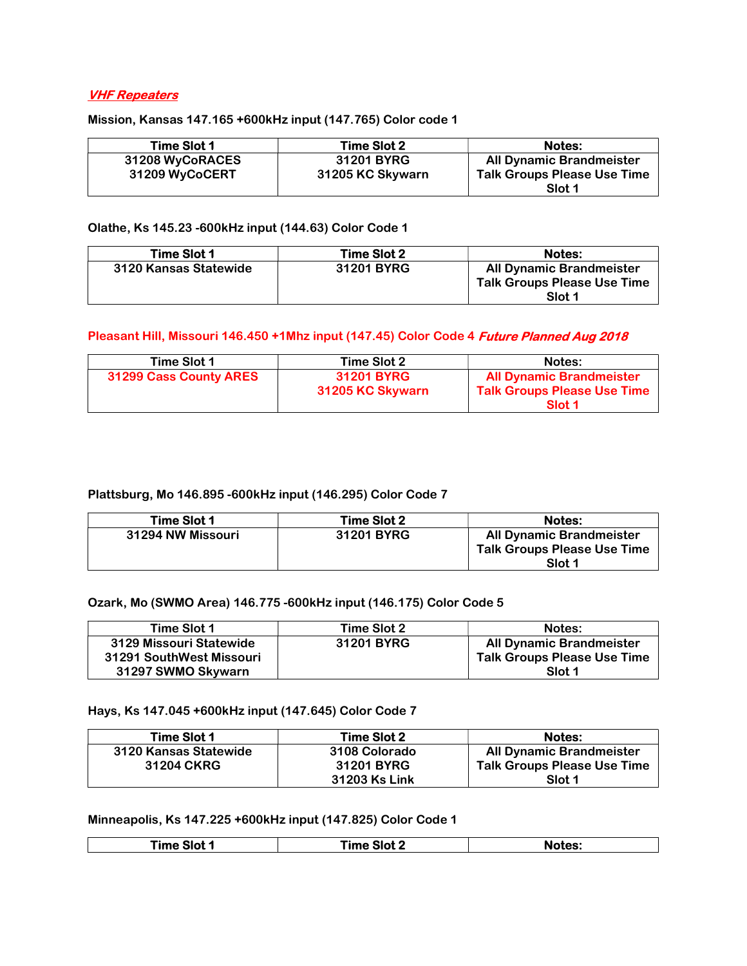## VHF Repeaters

Mission, Kansas 147.165 +600kHz input (147.765) Color code 1

| Time Slot 1     | <b>Time Slot 2</b> | <b>Notes:</b>                                |
|-----------------|--------------------|----------------------------------------------|
| 31208 WyCoRACES | 31201 BYRG         | <b>All Dynamic Brandmeister</b>              |
| 31209 WyCoCERT  | 31205 KC Skywarn   | <b>Talk Groups Please Use Time</b><br>Slot 1 |

Olathe, Ks 145.23 -600kHz input (144.63) Color Code 1

| Time Slot 1           | <b>Time Slot 2</b> | <b>Notes:</b>                                                                   |
|-----------------------|--------------------|---------------------------------------------------------------------------------|
| 3120 Kansas Statewide | 31201 BYRG         | <b>All Dynamic Brandmeister</b><br><b>Talk Groups Please Use Time</b><br>Slot 1 |

#### Pleasant Hill, Missouri 146.450 +1Mhz input (147.45) Color Code 4 Future Planned Aug 2018

| Time Slot 1            | Time Slot 2                           | Notes:                                                                                     |
|------------------------|---------------------------------------|--------------------------------------------------------------------------------------------|
| 31299 Cass County ARES | <b>31201 BYRG</b><br>31205 KC Skywarn | <b>All Dynamic Brandmeister</b><br><b>Talk Groups Please Use Time</b><br>Slot <sub>1</sub> |

#### Plattsburg, Mo 146.895 -600kHz input (146.295) Color Code 7

| Time Slot 1       | <b>Time Slot 2</b> | <b>Notes:</b>                                                                   |
|-------------------|--------------------|---------------------------------------------------------------------------------|
| 31294 NW Missouri | <b>31201 BYRG</b>  | <b>All Dynamic Brandmeister</b><br><b>Talk Groups Please Use Time</b><br>Slot 1 |

Ozark, Mo (SWMO Area) 146.775 -600kHz input (146.175) Color Code 5

| Time Slot 1              | Time Slot 2 | <b>Notes:</b>                      |
|--------------------------|-------------|------------------------------------|
| 3129 Missouri Statewide  | 31201 BYRG  | <b>All Dynamic Brandmeister</b>    |
| 31291 SouthWest Missouri |             | <b>Talk Groups Please Use Time</b> |
| 31297 SWMO Skywarn       |             | Slot 1                             |

#### Hays, Ks 147.045 +600kHz input (147.645) Color Code 7

| Time Slot 1           | Time Slot 2          | <b>Notes:</b>                      |
|-----------------------|----------------------|------------------------------------|
| 3120 Kansas Statewide | 3108 Colorado        | <b>All Dynamic Brandmeister</b>    |
| <b>31204 CKRG</b>     | 31201 BYRG           | <b>Talk Groups Please Use Time</b> |
|                       | <b>31203 Ks Link</b> | Slot 1                             |

### Minneapolis, Ks 147.225 +600kHz input (147.825) Color Code 1

|  | <b>Fime Slot</b> | . Slot 2<br>---- | <b>Notes:</b> |
|--|------------------|------------------|---------------|
|--|------------------|------------------|---------------|